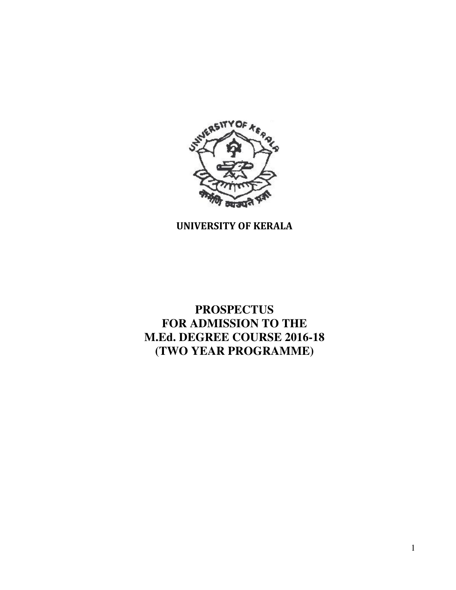

# UNIVERSITY OF KERALA

**PROSPECTUS FOR ADMISSION TO THE M.Ed. DEGREE COURSE 2016-18 (TWO YEAR PROGRAMME)**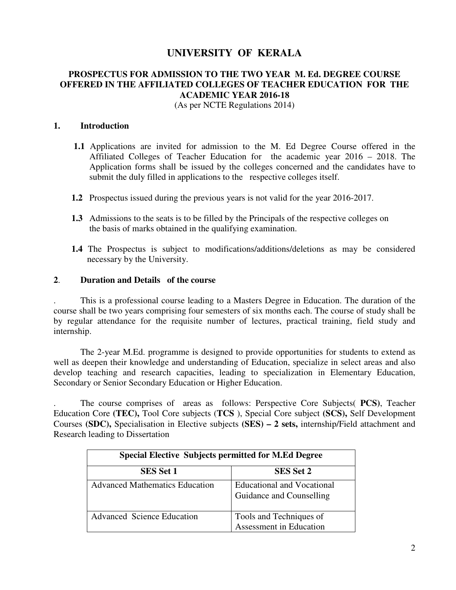# **UNIVERSITY OF KERALA**

# **PROSPECTUS FOR ADMISSION TO THE TWO YEAR M. Ed. DEGREE COURSE OFFERED IN THE AFFILIATED COLLEGES OF TEACHER EDUCATION FOR THE ACADEMIC YEAR 2016-18**

(As per NCTE Regulations 2014)

#### **1. Introduction**

- **1.1** Applications are invited for admission to the M. Ed Degree Course offered in the Affiliated Colleges of Teacher Education for the academic year 2016 – 2018. The Application forms shall be issued by the colleges concerned and the candidates have to submit the duly filled in applications to the respective colleges itself.
- **1.2** Prospectus issued during the previous years is not valid for the year 2016-2017.
- **1.3** Admissions to the seats is to be filled by the Principals of the respective colleges on the basis of marks obtained in the qualifying examination.
- **1.4** The Prospectus is subject to modifications/additions/deletions as may be considered necessary by the University.

### **2**. **Duration and Details of the course**

. This is a professional course leading to a Masters Degree in Education. The duration of the course shall be two years comprising four semesters of six months each. The course of study shall be by regular attendance for the requisite number of lectures, practical training, field study and internship.

The 2-year M.Ed. programme is designed to provide opportunities for students to extend as well as deepen their knowledge and understanding of Education, specialize in select areas and also develop teaching and research capacities, leading to specialization in Elementary Education, Secondary or Senior Secondary Education or Higher Education.

. The course comprises of areas as follows: Perspective Core Subjects( **PCS)**, Teacher Education Core **(TEC),** Tool Core subjects (**TCS** ), Special Core subject **(SCS),** Self Development Courses **(SDC),** Specialisation in Elective subjects **(SES) – 2 sets,** internship/Field attachment and Research leading to Dissertation

| <b>Special Elective Subjects permitted for M.Ed Degree</b> |                                                               |  |
|------------------------------------------------------------|---------------------------------------------------------------|--|
| <b>SES Set 1</b>                                           | <b>SES Set 2</b>                                              |  |
| <b>Advanced Mathematics Education</b>                      | <b>Educational and Vocational</b><br>Guidance and Counselling |  |
| <b>Advanced Science Education</b>                          | Tools and Techniques of<br>Assessment in Education            |  |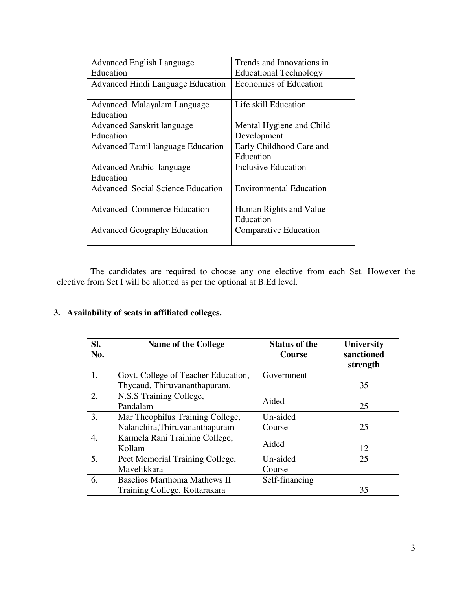| <b>Advanced English Language</b>         | Trends and Innovations in      |
|------------------------------------------|--------------------------------|
| Education                                | <b>Educational Technology</b>  |
| <b>Advanced Hindi Language Education</b> | <b>Economics of Education</b>  |
|                                          |                                |
| Advanced Malayalam Language              | Life skill Education           |
| Education                                |                                |
| <b>Advanced Sanskrit language</b>        | Mental Hygiene and Child       |
| Education                                | Development                    |
| <b>Advanced Tamil language Education</b> | Early Childhood Care and       |
|                                          | Education                      |
| Advanced Arabic language                 | <b>Inclusive Education</b>     |
| Education                                |                                |
| <b>Advanced Social Science Education</b> | <b>Environmental Education</b> |
|                                          |                                |
| <b>Advanced Commerce Education</b>       | Human Rights and Value         |
|                                          | Education                      |
| <b>Advanced Geography Education</b>      | <b>Comparative Education</b>   |
|                                          |                                |
|                                          |                                |

The candidates are required to choose any one elective from each Set. However the elective from Set I will be allotted as per the optional at B.Ed level.

# **3. Availability of seats in affiliated colleges.**

| SI.<br>No. | <b>Name of the College</b>          | <b>Status of the</b><br>Course | <b>University</b><br>sanctioned<br>strength |
|------------|-------------------------------------|--------------------------------|---------------------------------------------|
| 1.         | Govt. College of Teacher Education, | Government                     |                                             |
|            | Thycaud, Thiruvananthapuram.        |                                | 35                                          |
| 2.         | N.S.S Training College,             | Aided                          |                                             |
|            | Pandalam                            |                                | 25                                          |
| 3.         | Mar Theophilus Training College,    | Un-aided                       |                                             |
|            | Nalanchira, Thiruvananthapuram      | Course                         | 25                                          |
| 4.         | Karmela Rani Training College,      | Aided                          |                                             |
|            | Kollam                              |                                | 12                                          |
| 5.         | Peet Memorial Training College,     | Un-aided                       | 25                                          |
|            | Mavelikkara                         | Course                         |                                             |
| 6.         | <b>Baselios Marthoma Mathews II</b> | Self-financing                 |                                             |
|            | Training College, Kottarakara       |                                | 35                                          |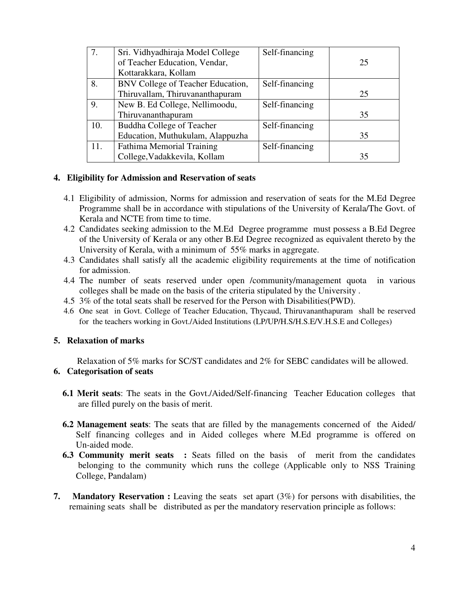| 7.  | Sri. Vidhyadhiraja Model College  | Self-financing |    |
|-----|-----------------------------------|----------------|----|
|     | of Teacher Education, Vendar,     |                | 25 |
|     | Kottarakkara, Kollam              |                |    |
| 8.  | BNV College of Teacher Education, | Self-financing |    |
|     | Thiruvallam, Thiruvananthapuram   |                | 25 |
| 9.  | New B. Ed College, Nellimoodu,    | Self-financing |    |
|     | Thiruvananthapuram                |                | 35 |
| 10. | <b>Buddha College of Teacher</b>  | Self-financing |    |
|     | Education, Muthukulam, Alappuzha  |                | 35 |
| 11. | <b>Fathima Memorial Training</b>  | Self-financing |    |
|     | College, Vadakkevila, Kollam      |                | 35 |

### **4. Eligibility for Admission and Reservation of seats**

- 4.1 Eligibility of admission, Norms for admission and reservation of seats for the M.Ed Degree Programme shall be in accordance with stipulations of the University of Kerala/The Govt. of Kerala and NCTE from time to time.
- 4.2 Candidates seeking admission to the M.Ed Degree programme must possess a B.Ed Degree of the University of Kerala or any other B.Ed Degree recognized as equivalent thereto by the University of Kerala, with a minimum of 55% marks in aggregate.
- 4.3 Candidates shall satisfy all the academic eligibility requirements at the time of notification for admission.
- 4.4 The number of seats reserved under open /community/management quota in various colleges shall be made on the basis of the criteria stipulated by the University .
- 4.5 3% of the total seats shall be reserved for the Person with Disabilities(PWD).
- 4.6 One seat in Govt. College of Teacher Education, Thycaud, Thiruvananthapuram shall be reserved for the teachers working in Govt./Aided Institutions (LP/UP/H.S/H.S.E/V.H.S.E and Colleges)

# **5. Relaxation of marks**

Relaxation of 5% marks for SC/ST candidates and 2% for SEBC candidates will be allowed.

# **6. Categorisation of seats**

- **6.1 Merit seats**: The seats in the Govt./Aided/Self-financing Teacher Education colleges that are filled purely on the basis of merit.
- **6.2 Management seats**: The seats that are filled by the managements concerned of the Aided/ Self financing colleges and in Aided colleges where M.Ed programme is offered on Un-aided mode.
- **6.3 Community merit seats :** Seats filled on the basis of merit from the candidates belonging to the community which runs the college (Applicable only to NSS Training College, Pandalam)
- **7.** Mandatory Reservation : Leaving the seats set apart (3%) for persons with disabilities, the remaining seats shall be distributed as per the mandatory reservation principle as follows: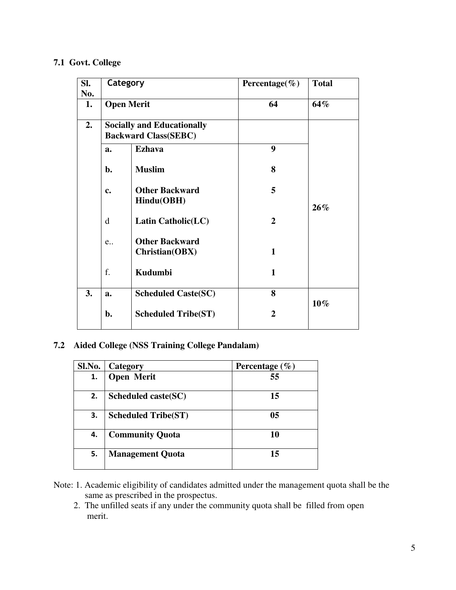# **7.1 Govt. College**

| Sl.<br>No. | Category                                                         |                                         | Percentage( $\%$ ) | <b>Total</b> |
|------------|------------------------------------------------------------------|-----------------------------------------|--------------------|--------------|
| 1.         | <b>Open Merit</b>                                                |                                         | 64                 | 64%          |
| 2.         | <b>Socially and Educationally</b><br><b>Backward Class(SEBC)</b> |                                         |                    |              |
|            | a.                                                               | <b>Ezhava</b>                           | 9                  |              |
|            | b.                                                               | <b>Muslim</b>                           | 8                  |              |
|            | c.                                                               | <b>Other Backward</b><br>Hindu(OBH)     | 5                  | $26\%$       |
|            | d                                                                | Latin Catholic(LC)                      | $\mathbf{2}$       |              |
|            | e                                                                | <b>Other Backward</b><br>Christian(OBX) | $\mathbf{1}$       |              |
|            | f.                                                               | Kudumbi                                 | $\mathbf{1}$       |              |
| 3.         | a.                                                               | <b>Scheduled Caste(SC)</b>              | 8                  | $10\%$       |
|            | b.                                                               | <b>Scheduled Tribe(ST)</b>              | $\overline{2}$     |              |

# **7.2 Aided College (NSS Training College Pandalam)**

| Sl.No. | Category                   | Percentage $(\% )$ |
|--------|----------------------------|--------------------|
| 1.     | <b>Open Merit</b>          | 55                 |
| 2.     | Scheduled caste(SC)        | 15                 |
| З.     | <b>Scheduled Tribe(ST)</b> | 05                 |
| 4.     | <b>Community Quota</b>     | 10                 |
| 5.     | <b>Management Quota</b>    | 15                 |

- Note: 1. Academic eligibility of candidates admitted under the management quota shall be the same as prescribed in the prospectus.
	- 2. The unfilled seats if any under the community quota shall be filled from open merit.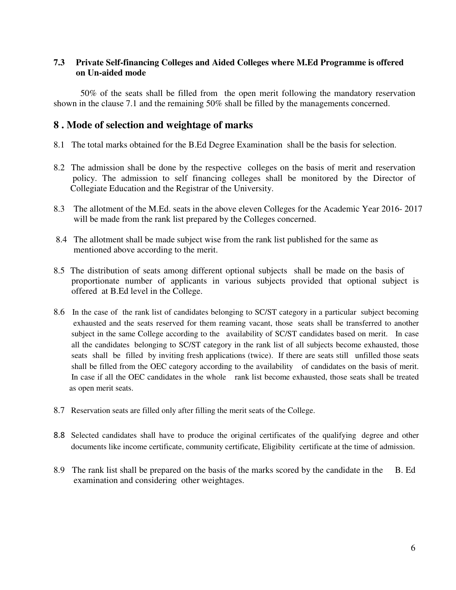# **7.3 Private Self-financing Colleges and Aided Colleges where M.Ed Programme is offered on Un-aided mode**

50% of the seats shall be filled from the open merit following the mandatory reservation shown in the clause 7.1 and the remaining 50% shall be filled by the managements concerned.

# **8 . Mode of selection and weightage of marks**

- 8.1 The total marks obtained for the B.Ed Degree Examination shall be the basis for selection.
- 8.2 The admission shall be done by the respective colleges on the basis of merit and reservation policy. The admission to self financing colleges shall be monitored by the Director of Collegiate Education and the Registrar of the University.
- 8.3 The allotment of the M.Ed. seats in the above eleven Colleges for the Academic Year 2016- 2017 will be made from the rank list prepared by the Colleges concerned.
- 8.4 The allotment shall be made subject wise from the rank list published for the same as mentioned above according to the merit.
- 8.5 The distribution of seats among different optional subjects shall be made on the basis of proportionate number of applicants in various subjects provided that optional subject is offered at B.Ed level in the College.
- 8.6 In the case of the rank list of candidates belonging to SC/ST category in a particular subject becoming exhausted and the seats reserved for them reaming vacant, those seats shall be transferred to another subject in the same College according to the availability of SC/ST candidates based on merit. In case all the candidates belonging to SC/ST category in the rank list of all subjects become exhausted, those seats shall be filled by inviting fresh applications (twice). If there are seats still unfilled those seats shall be filled from the OEC category according to the availability of candidates on the basis of merit. In case if all the OEC candidates in the whole rank list become exhausted, those seats shall be treated as open merit seats.
- 8.7 Reservation seats are filled only after filling the merit seats of the College.
- 8.8 Selected candidates shall have to produce the original certificates of the qualifying degree and other documents like income certificate, community certificate, Eligibility certificate at the time of admission.
- 8.9 The rank list shall be prepared on the basis of the marks scored by the candidate in the B. Ed examination and considering other weightages.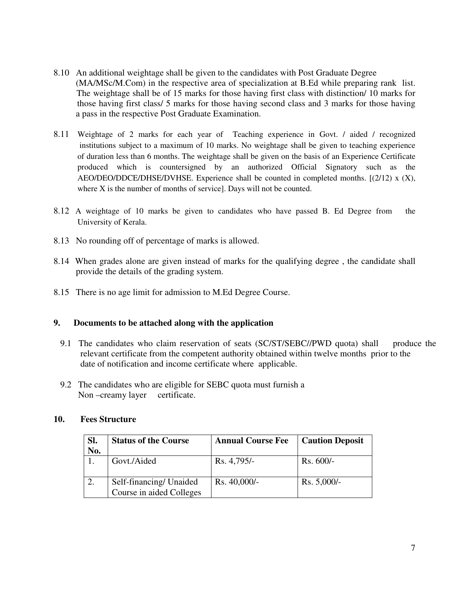- 8.10 An additional weightage shall be given to the candidates with Post Graduate Degree (MA/MSc/M.Com) in the respective area of specialization at B.Ed while preparing rank list. The weightage shall be of 15 marks for those having first class with distinction/ 10 marks for those having first class/ 5 marks for those having second class and 3 marks for those having a pass in the respective Post Graduate Examination.
- 8.11 Weightage of 2 marks for each year of Teaching experience in Govt. / aided / recognized institutions subject to a maximum of 10 marks. No weightage shall be given to teaching experience of duration less than 6 months. The weightage shall be given on the basis of an Experience Certificate produced which is countersigned by an authorized Official Signatory such as the AEO/DEO/DDCE/DHSE/DVHSE. Experience shall be counted in completed months.  $[(2/12) \times (X),$ where X is the number of months of service]. Days will not be counted.
- 8.12 A weightage of 10 marks be given to candidates who have passed B. Ed Degree from the University of Kerala.
- 8.13 No rounding off of percentage of marks is allowed.
- 8.14 When grades alone are given instead of marks for the qualifying degree , the candidate shall provide the details of the grading system.
- 8.15 There is no age limit for admission to M.Ed Degree Course.

### **9. Documents to be attached along with the application**

- 9.1 The candidates who claim reservation of seats (SC/ST/SEBC//PWD quota) shall produce the relevant certificate from the competent authority obtained within twelve months prior to the date of notification and income certificate where applicable.
- 9.2 The candidates who are eligible for SEBC quota must furnish a Non-creamy layer certificate.

#### **10. Fees Structure**

| SI.<br>No. | <b>Status of the Course</b>                         | <b>Annual Course Fee</b> | <b>Caution Deposit</b> |
|------------|-----------------------------------------------------|--------------------------|------------------------|
|            | Govt./Aided                                         | Rs. 4,795/-              | $Rs. 600/-$            |
|            | Self-financing/ Unaided<br>Course in aided Colleges | Rs. 40,000/-             | $Rs. 5,000/-$          |